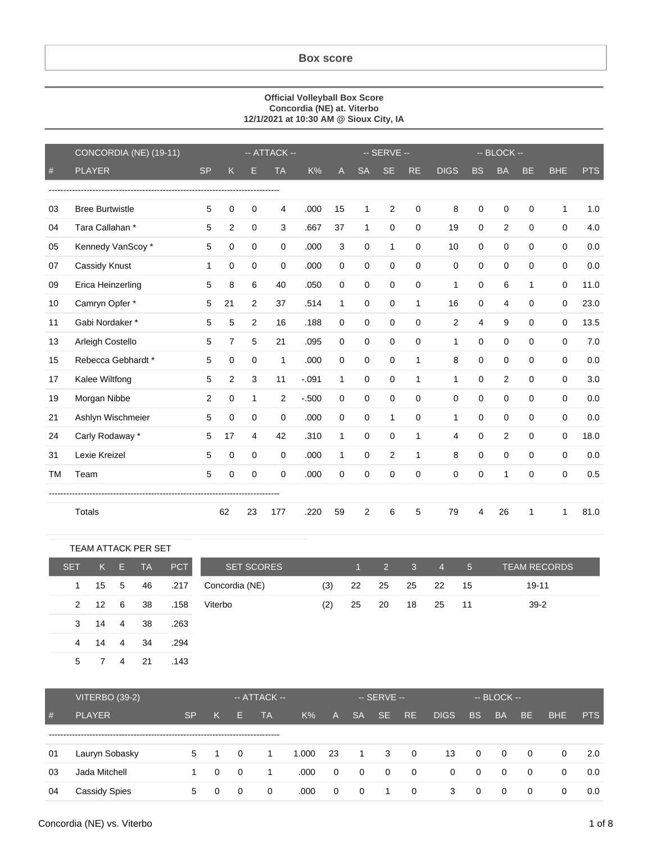## **Box score**

## **Official Volleyball Box Score Concordia (NE) at. Viterbo 12/1/2021 at 10:30 AM @ Sioux City, IA**

|           | CONCORDIA (NE) (19-11) |           |                |                | -- ATTACK --   |         |              |                | -- SERVE --         |             |              | $-$ BLOCK $-$ |                |              |              |            |
|-----------|------------------------|-----------|----------------|----------------|----------------|---------|--------------|----------------|---------------------|-------------|--------------|---------------|----------------|--------------|--------------|------------|
| $#$       | <b>PLAYER</b>          | <b>SP</b> | K              | Е              | <b>TA</b>      | K%      | A            | <b>SA</b>      | <b>SE</b>           | <b>RE</b>   | <b>DIGS</b>  | <b>BS</b>     | <b>BA</b>      | BE           | <b>BHE</b>   | <b>PTS</b> |
|           |                        |           |                |                |                |         |              |                |                     |             |              |               |                |              |              |            |
| 03        | <b>Bree Burtwistle</b> | 5         | $\mathbf 0$    | 0              | 4              | .000    | 15           | 1              | 2                   | $\Omega$    | 8            | $\mathbf 0$   | $\mathbf 0$    | $\Omega$     | $\mathbf{1}$ | 1.0        |
| 04        | Tara Callahan *        | 5         | 2              | 0              | 3              | .667    | 37           | $\mathbf{1}$   | $\mathsf{O}\xspace$ | $\mathbf 0$ | 19           | $\mathbf 0$   | $\overline{2}$ | $\Omega$     | $\mathbf 0$  | 4.0        |
| 05        | Kennedy VanScoy*       | 5         | 0              | 0              | 0              | .000    | 3            | 0              | $\mathbf{1}$        | 0           | 10           | $\mathbf 0$   | $\mathbf 0$    | $\mathbf 0$  | $\mathbf 0$  | 0.0        |
| 07        | Cassidy Knust          | 1         | $\mathbf 0$    | 0              | $\mathbf 0$    | .000    | $\mathbf 0$  | 0              | $\mathbf 0$         | $\mathbf 0$ | $\mathbf 0$  | $\mathbf 0$   | $\Omega$       | $\mathbf 0$  | $\mathbf 0$  | 0.0        |
| 09        | Erica Heinzerling      | 5         | 8              | 6              | 40             | .050    | $\Omega$     | 0              | $\mathbf 0$         | $\Omega$    | $\mathbf{1}$ | $\mathbf 0$   | 6              | $\mathbf{1}$ | $\Omega$     | 11.0       |
| 10        | Camryn Opfer *         | 5         | 21             | $\overline{2}$ | 37             | .514    | $\mathbf{1}$ | 0              | $\mathbf 0$         | 1           | 16           | $\mathbf 0$   | 4              | $\mathbf 0$  | $\mathbf 0$  | 23.0       |
| 11        | Gabi Nordaker*         | 5         | 5              | $\overline{2}$ | 16             | .188    | $\mathbf 0$  | 0              | $\mathbf 0$         | 0           | 2            | 4             | 9              | $\mathbf 0$  | 0            | 13.5       |
| 13        | Arleigh Costello       | 5         | $\overline{7}$ | 5              | 21             | .095    | $\mathbf 0$  | 0              | $\mathbf 0$         | $\mathbf 0$ | $\mathbf{1}$ | $\mathbf 0$   | $\mathbf 0$    | $\mathbf 0$  | $\mathbf 0$  | 7.0        |
| 15        | Rebecca Gebhardt *     | 5         | $\Omega$       | $\Omega$       | $\mathbf{1}$   | .000    | $\Omega$     | $\Omega$       | $\mathbf 0$         | 1           | 8            | 0             | $\Omega$       | $\Omega$     | $\Omega$     | 0.0        |
| 17        | Kalee Wiltfong         | 5         | 2              | 3              | 11             | $-.091$ | $\mathbf{1}$ | 0              | $\mathbf 0$         | 1           | $\mathbf{1}$ | $\mathbf 0$   | $\overline{2}$ | $\Omega$     | $\Omega$     | 3.0        |
| 19        | Morgan Nibbe           | 2         | $\mathbf 0$    | $\mathbf{1}$   | $\overline{2}$ | $-.500$ | $\mathbf 0$  | 0              | $\mathbf 0$         | $\Omega$    | $\Omega$     | $\mathbf 0$   | $\Omega$       | $\Omega$     | $\mathbf 0$  | 0.0        |
| 21        | Ashlyn Wischmeier      | 5         | $\mathbf 0$    | 0              | $\mathbf 0$    | .000    | $\mathbf 0$  | 0              | $\mathbf{1}$        | $\mathbf 0$ | $\mathbf{1}$ | $\mathbf 0$   | $\mathbf 0$    | $\mathbf 0$  | $\mathbf 0$  | 0.0        |
| 24        | Carly Rodaway *        | 5         | 17             | 4              | 42             | .310    | $\mathbf{1}$ | $\mathbf 0$    | $\mathbf 0$         | 1           | 4            | $\mathbf 0$   | $\overline{2}$ | $\Omega$     | 0            | 18.0       |
| 31        | Lexie Kreizel          | 5         | $\mathbf 0$    | 0              | $\mathbf 0$    | .000    | $\mathbf{1}$ | 0              | 2                   | 1           | 8            | $\mathbf 0$   | $\mathbf 0$    | $\mathbf 0$  | $\mathbf 0$  | 0.0        |
| <b>TM</b> | Team                   | 5         | 0              | 0              | 0              | .000    | $\mathbf 0$  | 0              | $\mathbf 0$         | $\mathbf 0$ | 0            | 0             | 1              | $\mathbf 0$  | 0            | 0.5        |
|           |                        |           |                |                |                |         |              |                |                     |             |              |               |                |              |              |            |
|           | Totals                 |           | 62             | 23             | 177            | .220    | 59           | $\overline{2}$ | 6                   | 5           | 79           | 4             | 26             | 1            | 1            | 81.0       |

| <b>TEAM ATTACK PER SET</b> |     |    |    |      |                   |     |       |             |              |                |                 |                     |
|----------------------------|-----|----|----|------|-------------------|-----|-------|-------------|--------------|----------------|-----------------|---------------------|
| <b>SET</b>                 | K.  | E. | TA | PCT  | <b>SET SCORES</b> |     | $1 -$ | $2^{\circ}$ | $\mathbf{3}$ | $\overline{4}$ | $5\overline{5}$ | <b>TEAM RECORDS</b> |
| $\mathbf{1}$               | 15  | 5  | 46 | .217 | Concordia (NE)    | (3) | 22    | 25          | 25           | -22            | 15              | 19-11               |
| 2                          | -12 | -6 | 38 | .158 | Viterbo           | (2) | 25    | 20          | 18           | 25             | -11             | $39-2$              |
| 3                          | 14  | 4  | 38 | .263 |                   |     |       |             |              |                |                 |                     |
| 4                          | 14  | 4  | 34 | .294 |                   |     |       |             |              |                |                 |                     |
| 5                          |     | 4  | 21 | .143 |                   |     |       |             |              |                |                 |                     |

|    | <b>VITERBO (39-2)</b> |           |          | $-$ ATTACK $-$ |           |       | $-$ SERVE $-$ |                |                         |                | -- BLOCK -- |              |           |           |     |            |
|----|-----------------------|-----------|----------|----------------|-----------|-------|---------------|----------------|-------------------------|----------------|-------------|--------------|-----------|-----------|-----|------------|
| #  | <b>PLAYER</b>         | <b>SP</b> | K        | н              | <b>TA</b> | $K\%$ | ' Av          | <b>SA</b>      | SE.                     | RE.            | <b>DIGS</b> | <b>BS</b>    | <b>BA</b> | <b>BE</b> | BHE | <b>PTS</b> |
|    |                       |           |          |                |           |       |               |                |                         |                |             |              |           |           |     |            |
| 01 | Lauryn Sobasky        | 5         |          | - 0            |           | 1.000 | -23           | $\mathbf{1}$   | $\overline{\mathbf{3}}$ | $\overline{0}$ | 13          | $\mathbf 0$  | $\Omega$  | $\Omega$  | 0   | 2.0        |
| 03 | Jada Mitchell         |           | $\Omega$ | 0              |           | .000  | $\Omega$      | $\overline{0}$ | $\overline{0}$          | 0              | 0           | $\mathbf{0}$ | 0         | $\Omega$  | 0   | 0.0        |
| 04 | Cassidy Spies         | 5         | 0        | $\Omega$       | $\Omega$  | .000  | $\Omega$      | 0              | $\overline{1}$          | 0              | 3           | $\mathbf 0$  | $\Omega$  | $\Omega$  | 0   | 0.0        |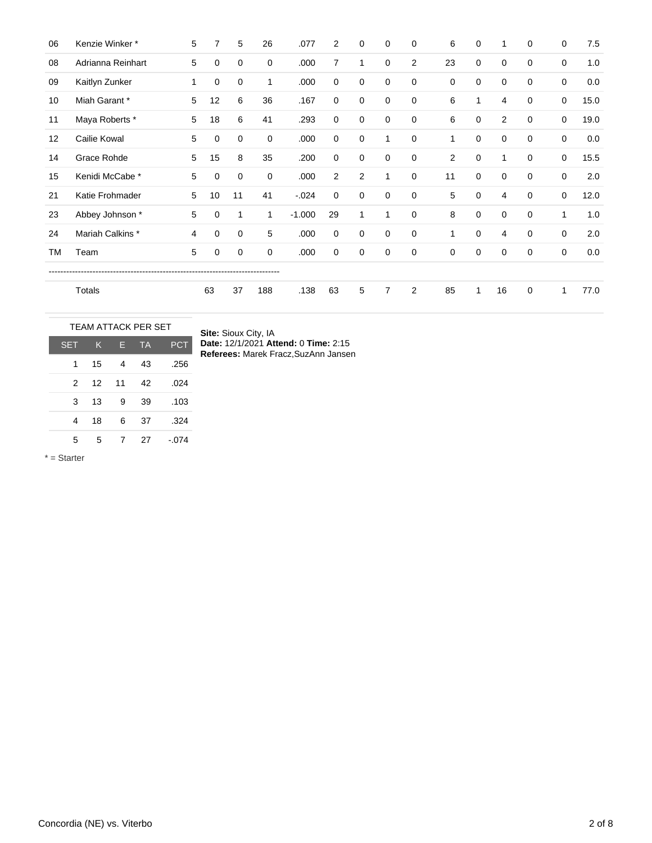| 06 | Kenzie Winker*    | 5 | 7  | 5  | 26  | .077     | 2              | 0              | 0           | 0              | 6  | 0 | 1              | 0           | $\mathbf 0$ | 7.5  |
|----|-------------------|---|----|----|-----|----------|----------------|----------------|-------------|----------------|----|---|----------------|-------------|-------------|------|
| 08 | Adrianna Reinhart | 5 | 0  | 0  | 0   | .000     | $\overline{7}$ | 1              | 0           | $\overline{2}$ | 23 | 0 | $\mathbf 0$    | $\Omega$    | $\mathbf 0$ | 1.0  |
| 09 | Kaitlyn Zunker    | 1 | 0  | 0  | 1   | .000     | $\mathbf 0$    | $\mathbf 0$    | 0           | $\mathbf 0$    | 0  | 0 | 0              | 0           | $\mathbf 0$ | 0.0  |
| 10 | Miah Garant *     | 5 | 12 | 6  | 36  | .167     | $\mathbf 0$    | $\mathbf 0$    | 0           | $\mathbf 0$    | 6  | 1 | 4              | 0           | $\mathbf 0$ | 15.0 |
| 11 | Maya Roberts *    | 5 | 18 | 6  | 41  | .293     | $\Omega$       | 0              | 0           | $\mathbf 0$    | 6  | 0 | 2              | $\Omega$    | $\mathbf 0$ | 19.0 |
| 12 | Cailie Kowal      | 5 | 0  | 0  | 0   | .000     | $\mathbf 0$    | $\mathbf 0$    | 1           | $\mathbf 0$    | 1  | 0 | $\mathbf 0$    | $\Omega$    | $\mathbf 0$ | 0.0  |
| 14 | Grace Rohde       | 5 | 15 | 8  | 35  | .200     | $\mathbf 0$    | $\mathbf 0$    | 0           | $\mathbf 0$    | 2  | 0 | $\mathbf{1}$   | $\mathbf 0$ | 0           | 15.5 |
| 15 | Kenidi McCabe *   | 5 | 0  | 0  | 0   | .000     | $\overline{2}$ | $\overline{2}$ | 1           | $\mathbf 0$    | 11 | 0 | $\mathbf 0$    | 0           | $\mathbf 0$ | 2.0  |
| 21 | Katie Frohmader   | 5 | 10 | 11 | 41  | $-.024$  | $\mathbf 0$    | $\mathbf 0$    | $\mathbf 0$ | $\mathbf 0$    | 5  | 0 | $\overline{4}$ | $\mathbf 0$ | $\mathbf 0$ | 12.0 |
| 23 | Abbey Johnson *   | 5 | 0  | 1  | 1   | $-1.000$ | 29             | $\mathbf{1}$   | 1           | $\mathbf 0$    | 8  | 0 | $\mathbf 0$    | 0           | 1           | 1.0  |
| 24 | Mariah Calkins *  | 4 | 0  | 0  | 5   | .000     | $\mathbf 0$    | 0              | $\mathbf 0$ | $\mathbf 0$    | 1  | 0 | 4              | $\Omega$    | $\mathbf 0$ | 2.0  |
| TM | Team              | 5 | 0  | 0  | 0   | .000     | $\mathbf 0$    | 0              | 0           | $\mathbf 0$    | 0  | 0 | $\mathbf 0$    | 0           | $\mathbf 0$ | 0.0  |
|    |                   |   |    |    |     |          |                |                |             |                |    |   |                |             |             |      |
|    | Totals            |   | 63 | 37 | 188 | .138     | 63             | 5              | 7           | $\overline{2}$ | 85 | 1 | 16             | $\mathbf 0$ | 1           | 77.0 |

|               |    |    | <b>TEAM ATTACK PER SET</b> |            |
|---------------|----|----|----------------------------|------------|
| <b>SET</b>    | K  | F  | <b>TA</b>                  | <b>PCT</b> |
| 1             | 15 | 4  | 43                         | .256       |
| $\mathcal{P}$ | 12 | 11 | 42                         | .024       |
| 3             | 13 | 9  | 39                         | .103       |
| 4             | 18 | 6  | 37                         | .324       |
| 5             | 5  |    | 27                         | $-.074$    |

**Site:** Sioux City, IA **Date:** 12/1/2021 **Attend:** 0 **Time:** 2:15 **Referees:** Marek Fracz,SuzAnn Jansen

\* = Starter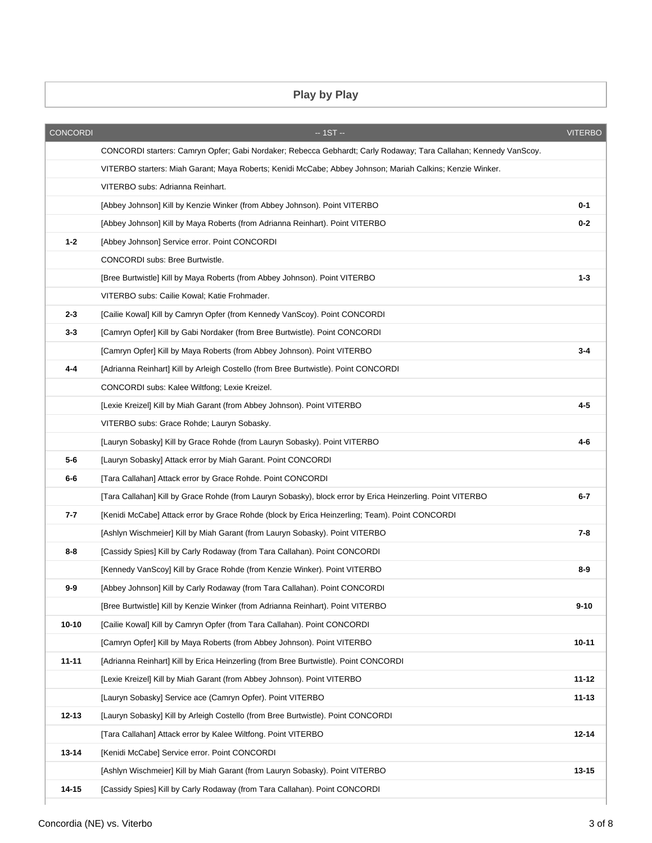## **Play by Play**

|           |                                                                                                                  | <b>VITERBO</b> |
|-----------|------------------------------------------------------------------------------------------------------------------|----------------|
|           | CONCORDI starters: Camryn Opfer; Gabi Nordaker; Rebecca Gebhardt; Carly Rodaway; Tara Callahan; Kennedy VanScoy. |                |
|           | VITERBO starters: Miah Garant; Maya Roberts; Kenidi McCabe; Abbey Johnson; Mariah Calkins; Kenzie Winker.        |                |
|           | VITERBO subs: Adrianna Reinhart.                                                                                 |                |
|           | [Abbey Johnson] Kill by Kenzie Winker (from Abbey Johnson). Point VITERBO                                        | $0 - 1$        |
|           | [Abbey Johnson] Kill by Maya Roberts (from Adrianna Reinhart). Point VITERBO                                     | $0 - 2$        |
| $1 - 2$   | [Abbey Johnson] Service error. Point CONCORDI                                                                    |                |
|           | CONCORDI subs: Bree Burtwistle.                                                                                  |                |
|           | [Bree Burtwistle] Kill by Maya Roberts (from Abbey Johnson). Point VITERBO                                       | $1 - 3$        |
|           | VITERBO subs: Cailie Kowal; Katie Frohmader.                                                                     |                |
| $2 - 3$   | [Cailie Kowal] Kill by Camryn Opfer (from Kennedy VanScoy). Point CONCORDI                                       |                |
| $3 - 3$   | [Camryn Opfer] Kill by Gabi Nordaker (from Bree Burtwistle). Point CONCORDI                                      |                |
|           | [Camryn Opfer] Kill by Maya Roberts (from Abbey Johnson). Point VITERBO                                          | $3 - 4$        |
| 4-4       | [Adrianna Reinhart] Kill by Arleigh Costello (from Bree Burtwistle). Point CONCORDI                              |                |
|           | CONCORDI subs: Kalee Wiltfong; Lexie Kreizel.                                                                    |                |
|           | [Lexie Kreizel] Kill by Miah Garant (from Abbey Johnson). Point VITERBO                                          | $4 - 5$        |
|           | VITERBO subs: Grace Rohde; Lauryn Sobasky.                                                                       |                |
|           | [Lauryn Sobasky] Kill by Grace Rohde (from Lauryn Sobasky). Point VITERBO                                        | $4 - 6$        |
| 5-6       | [Lauryn Sobasky] Attack error by Miah Garant. Point CONCORDI                                                     |                |
| 6-6       | [Tara Callahan] Attack error by Grace Rohde. Point CONCORDI                                                      |                |
|           | [Tara Callahan] Kill by Grace Rohde (from Lauryn Sobasky), block error by Erica Heinzerling. Point VITERBO       | 6-7            |
| 7-7       | [Kenidi McCabe] Attack error by Grace Rohde (block by Erica Heinzerling; Team). Point CONCORDI                   |                |
|           | [Ashlyn Wischmeier] Kill by Miah Garant (from Lauryn Sobasky). Point VITERBO                                     | 7-8            |
| 8-8       | [Cassidy Spies] Kill by Carly Rodaway (from Tara Callahan). Point CONCORDI                                       |                |
|           | [Kennedy VanScoy] Kill by Grace Rohde (from Kenzie Winker). Point VITERBO                                        | $8-9$          |
| 9-9       | [Abbey Johnson] Kill by Carly Rodaway (from Tara Callahan). Point CONCORDI                                       |                |
|           | [Bree Burtwistle] Kill by Kenzie Winker (from Adrianna Reinhart). Point VITERBO                                  | $9 - 10$       |
| $10 - 10$ | [Cailie Kowal] Kill by Camryn Opfer (from Tara Callahan). Point CONCORDI                                         |                |
|           | [Camryn Opfer] Kill by Maya Roberts (from Abbey Johnson). Point VITERBO                                          | 10-11          |
| $11 - 11$ | [Adrianna Reinhart] Kill by Erica Heinzerling (from Bree Burtwistle). Point CONCORDI                             |                |
|           | [Lexie Kreizel] Kill by Miah Garant (from Abbey Johnson). Point VITERBO                                          | $11 - 12$      |
|           | [Lauryn Sobasky] Service ace (Camryn Opfer). Point VITERBO                                                       | $11 - 13$      |
| $12 - 13$ | [Lauryn Sobasky] Kill by Arleigh Costello (from Bree Burtwistle). Point CONCORDI                                 |                |
|           | [Tara Callahan] Attack error by Kalee Wiltfong. Point VITERBO                                                    | $12 - 14$      |
| $13 - 14$ | [Kenidi McCabe] Service error. Point CONCORDI                                                                    |                |
|           | [Ashlyn Wischmeier] Kill by Miah Garant (from Lauryn Sobasky). Point VITERBO                                     | $13 - 15$      |
| 14-15     | [Cassidy Spies] Kill by Carly Rodaway (from Tara Callahan). Point CONCORDI                                       |                |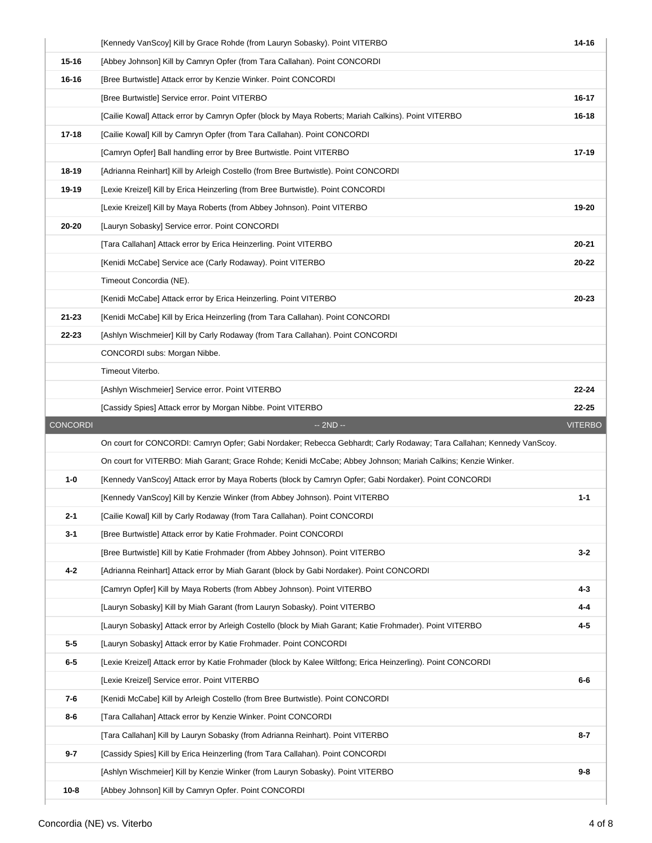|           | [Kennedy VanScoy] Kill by Grace Rohde (from Lauryn Sobasky). Point VITERBO                                           | 14-16          |
|-----------|----------------------------------------------------------------------------------------------------------------------|----------------|
| $15 - 16$ | [Abbey Johnson] Kill by Camryn Opfer (from Tara Callahan). Point CONCORDI                                            |                |
| $16 - 16$ | [Bree Burtwistle] Attack error by Kenzie Winker. Point CONCORDI                                                      |                |
|           | [Bree Burtwistle] Service error. Point VITERBO                                                                       | 16-17          |
|           | [Cailie Kowal] Attack error by Camryn Opfer (block by Maya Roberts; Mariah Calkins). Point VITERBO                   | 16-18          |
| $17 - 18$ | [Cailie Kowal] Kill by Camryn Opfer (from Tara Callahan). Point CONCORDI                                             |                |
|           | [Camryn Opfer] Ball handling error by Bree Burtwistle. Point VITERBO                                                 | 17-19          |
| 18-19     | [Adrianna Reinhart] Kill by Arleigh Costello (from Bree Burtwistle). Point CONCORDI                                  |                |
| 19-19     | [Lexie Kreizel] Kill by Erica Heinzerling (from Bree Burtwistle). Point CONCORDI                                     |                |
|           | [Lexie Kreizel] Kill by Maya Roberts (from Abbey Johnson). Point VITERBO                                             | 19-20          |
| 20-20     | [Lauryn Sobasky] Service error. Point CONCORDI                                                                       |                |
|           | [Tara Callahan] Attack error by Erica Heinzerling. Point VITERBO                                                     | $20 - 21$      |
|           | [Kenidi McCabe] Service ace (Carly Rodaway). Point VITERBO                                                           | $20 - 22$      |
|           | Timeout Concordia (NE).                                                                                              |                |
|           | [Kenidi McCabe] Attack error by Erica Heinzerling. Point VITERBO                                                     | 20-23          |
| $21 - 23$ | [Kenidi McCabe] Kill by Erica Heinzerling (from Tara Callahan). Point CONCORDI                                       |                |
| 22-23     | [Ashlyn Wischmeier] Kill by Carly Rodaway (from Tara Callahan). Point CONCORDI                                       |                |
|           | CONCORDI subs: Morgan Nibbe.                                                                                         |                |
|           | Timeout Viterbo.                                                                                                     |                |
|           | [Ashlyn Wischmeier] Service error. Point VITERBO                                                                     | $22 - 24$      |
|           | [Cassidy Spies] Attack error by Morgan Nibbe. Point VITERBO                                                          | $22 - 25$      |
|           |                                                                                                                      |                |
| CONCORDI  | $-2ND -$                                                                                                             | <b>VITERBO</b> |
|           | On court for CONCORDI: Camryn Opfer; Gabi Nordaker; Rebecca Gebhardt; Carly Rodaway; Tara Callahan; Kennedy VanScoy. |                |
|           | On court for VITERBO: Miah Garant; Grace Rohde; Kenidi McCabe; Abbey Johnson; Mariah Calkins; Kenzie Winker.         |                |
| $1-0$     | [Kennedy VanScoy] Attack error by Maya Roberts (block by Camryn Opfer; Gabi Nordaker). Point CONCORDI                |                |
|           | [Kennedy VanScoy] Kill by Kenzie Winker (from Abbey Johnson). Point VITERBO                                          | $1 - 1$        |
| $2 - 1$   | [Cailie Kowal] Kill by Carly Rodaway (from Tara Callahan). Point CONCORDI                                            |                |
| $3 - 1$   | [Bree Burtwistle] Attack error by Katie Frohmader. Point CONCORDI                                                    |                |
|           | [Bree Burtwistle] Kill by Katie Frohmader (from Abbey Johnson). Point VITERBO                                        | $3 - 2$        |
| $4-2$     | [Adrianna Reinhart] Attack error by Miah Garant (block by Gabi Nordaker). Point CONCORDI                             |                |
|           | [Camryn Opfer] Kill by Maya Roberts (from Abbey Johnson). Point VITERBO                                              | $4 - 3$        |
|           | [Lauryn Sobasky] Kill by Miah Garant (from Lauryn Sobasky). Point VITERBO                                            | 4-4            |
|           | [Lauryn Sobasky] Attack error by Arleigh Costello (block by Miah Garant; Katie Frohmader). Point VITERBO             | $4 - 5$        |
| $5-5$     | [Lauryn Sobasky] Attack error by Katie Frohmader. Point CONCORDI                                                     |                |
| $6-5$     | [Lexie Kreizel] Attack error by Katie Frohmader (block by Kalee Wiltfong; Erica Heinzerling). Point CONCORDI         |                |
|           | [Lexie Kreizel] Service error. Point VITERBO                                                                         | $6-6$          |
| 7-6       | [Kenidi McCabe] Kill by Arleigh Costello (from Bree Burtwistle). Point CONCORDI                                      |                |
| $8-6$     | [Tara Callahan] Attack error by Kenzie Winker. Point CONCORDI                                                        |                |
|           | [Tara Callahan] Kill by Lauryn Sobasky (from Adrianna Reinhart). Point VITERBO                                       | $8 - 7$        |
| $9 - 7$   | [Cassidy Spies] Kill by Erica Heinzerling (from Tara Callahan). Point CONCORDI                                       |                |
|           | [Ashlyn Wischmeier] Kill by Kenzie Winker (from Lauryn Sobasky). Point VITERBO                                       | $9 - 8$        |
| $10 - 8$  | [Abbey Johnson] Kill by Camryn Opfer. Point CONCORDI                                                                 |                |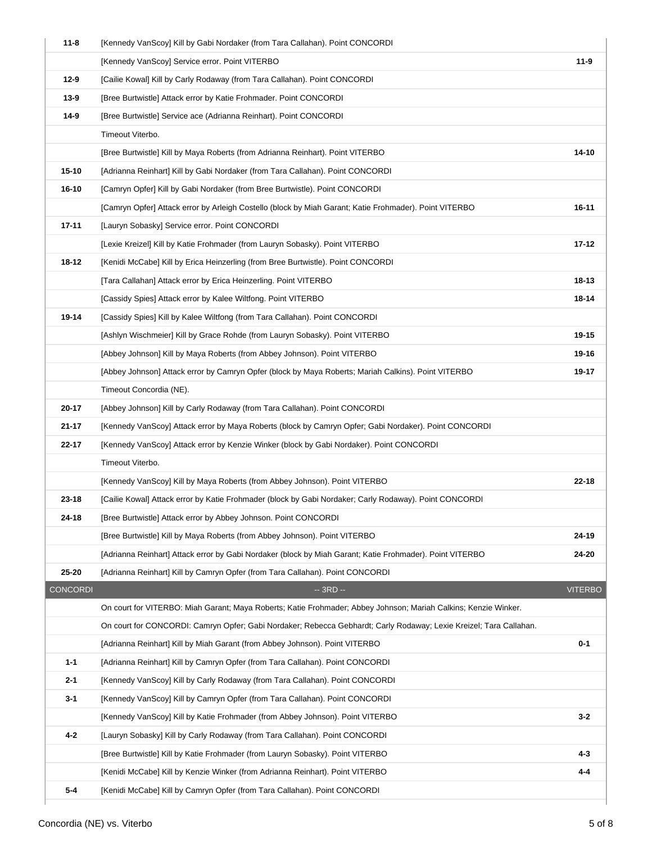| $11 - 8$                 | [Kennedy VanScoy] Kill by Gabi Nordaker (from Tara Callahan). Point CONCORDI                                       |                |
|--------------------------|--------------------------------------------------------------------------------------------------------------------|----------------|
|                          | [Kennedy VanScoy] Service error. Point VITERBO                                                                     | $11-9$         |
| $12-9$                   | [Cailie Kowal] Kill by Carly Rodaway (from Tara Callahan). Point CONCORDI                                          |                |
| $13-9$                   | [Bree Burtwistle] Attack error by Katie Frohmader. Point CONCORDI                                                  |                |
| 14-9                     | [Bree Burtwistle] Service ace (Adrianna Reinhart). Point CONCORDI                                                  |                |
|                          | Timeout Viterbo.                                                                                                   |                |
|                          | [Bree Burtwistle] Kill by Maya Roberts (from Adrianna Reinhart). Point VITERBO                                     | $14 - 10$      |
| $15 - 10$                | [Adrianna Reinhart] Kill by Gabi Nordaker (from Tara Callahan). Point CONCORDI                                     |                |
| $16 - 10$                | [Camryn Opfer] Kill by Gabi Nordaker (from Bree Burtwistle). Point CONCORDI                                        |                |
|                          | [Camryn Opfer] Attack error by Arleigh Costello (block by Miah Garant; Katie Frohmader). Point VITERBO             | 16-11          |
| $17 - 11$                | [Lauryn Sobasky] Service error. Point CONCORDI                                                                     |                |
|                          | [Lexie Kreizel] Kill by Katie Frohmader (from Lauryn Sobasky). Point VITERBO                                       | $17 - 12$      |
| $18 - 12$                | [Kenidi McCabe] Kill by Erica Heinzerling (from Bree Burtwistle). Point CONCORDI                                   |                |
|                          | [Tara Callahan] Attack error by Erica Heinzerling. Point VITERBO                                                   | 18-13          |
|                          | [Cassidy Spies] Attack error by Kalee Wiltfong. Point VITERBO                                                      | 18-14          |
| 19-14                    | [Cassidy Spies] Kill by Kalee Wiltfong (from Tara Callahan). Point CONCORDI                                        |                |
|                          | [Ashlyn Wischmeier] Kill by Grace Rohde (from Lauryn Sobasky). Point VITERBO                                       | 19-15          |
|                          | [Abbey Johnson] Kill by Maya Roberts (from Abbey Johnson). Point VITERBO                                           | 19-16          |
|                          | [Abbey Johnson] Attack error by Camryn Opfer (block by Maya Roberts; Mariah Calkins). Point VITERBO                | 19-17          |
|                          | Timeout Concordia (NE).                                                                                            |                |
| 20-17                    | [Abbey Johnson] Kill by Carly Rodaway (from Tara Callahan). Point CONCORDI                                         |                |
| $21 - 17$                | [Kennedy VanScoy] Attack error by Maya Roberts (block by Camryn Opfer; Gabi Nordaker). Point CONCORDI              |                |
| 22-17                    | [Kennedy VanScoy] Attack error by Kenzie Winker (block by Gabi Nordaker). Point CONCORDI                           |                |
|                          | Timeout Viterbo.                                                                                                   |                |
|                          | [Kennedy VanScoy] Kill by Maya Roberts (from Abbey Johnson). Point VITERBO                                         | $22 - 18$      |
| $23 - 18$                | [Cailie Kowal] Attack error by Katie Frohmader (block by Gabi Nordaker; Carly Rodaway). Point CONCORDI             |                |
| $24 - 18$                | [Bree Burtwistle] Attack error by Abbey Johnson. Point CONCORDI                                                    |                |
|                          | [Bree Burtwistle] Kill by Maya Roberts (from Abbey Johnson). Point VITERBO                                         | 24-19          |
|                          | [Adrianna Reinhart] Attack error by Gabi Nordaker (block by Miah Garant; Katie Frohmader). Point VITERBO           | 24-20          |
| 25-20<br><b>CONCORDI</b> | [Adrianna Reinhart] Kill by Camryn Opfer (from Tara Callahan). Point CONCORDI<br>$-3RD -$                          | <b>VITERBO</b> |
|                          | On court for VITERBO: Miah Garant; Maya Roberts; Katie Frohmader; Abbey Johnson; Mariah Calkins; Kenzie Winker.    |                |
|                          | On court for CONCORDI: Camryn Opfer; Gabi Nordaker; Rebecca Gebhardt; Carly Rodaway; Lexie Kreizel; Tara Callahan. |                |
|                          | [Adrianna Reinhart] Kill by Miah Garant (from Abbey Johnson). Point VITERBO                                        | $0 - 1$        |
| $1 - 1$                  | [Adrianna Reinhart] Kill by Camryn Opfer (from Tara Callahan). Point CONCORDI                                      |                |
| $2 - 1$                  | [Kennedy VanScoy] Kill by Carly Rodaway (from Tara Callahan). Point CONCORDI                                       |                |
| $3-1$                    | [Kennedy VanScoy] Kill by Camryn Opfer (from Tara Callahan). Point CONCORDI                                        |                |
|                          | [Kennedy VanScoy] Kill by Katie Frohmader (from Abbey Johnson). Point VITERBO                                      | $3 - 2$        |
| $4 - 2$                  | [Lauryn Sobasky] Kill by Carly Rodaway (from Tara Callahan). Point CONCORDI                                        |                |
|                          | [Bree Burtwistle] Kill by Katie Frohmader (from Lauryn Sobasky). Point VITERBO                                     | 4-3            |
|                          | [Kenidi McCabe] Kill by Kenzie Winker (from Adrianna Reinhart). Point VITERBO                                      | 4-4            |
| $5-4$                    | [Kenidi McCabe] Kill by Camryn Opfer (from Tara Callahan). Point CONCORDI                                          |                |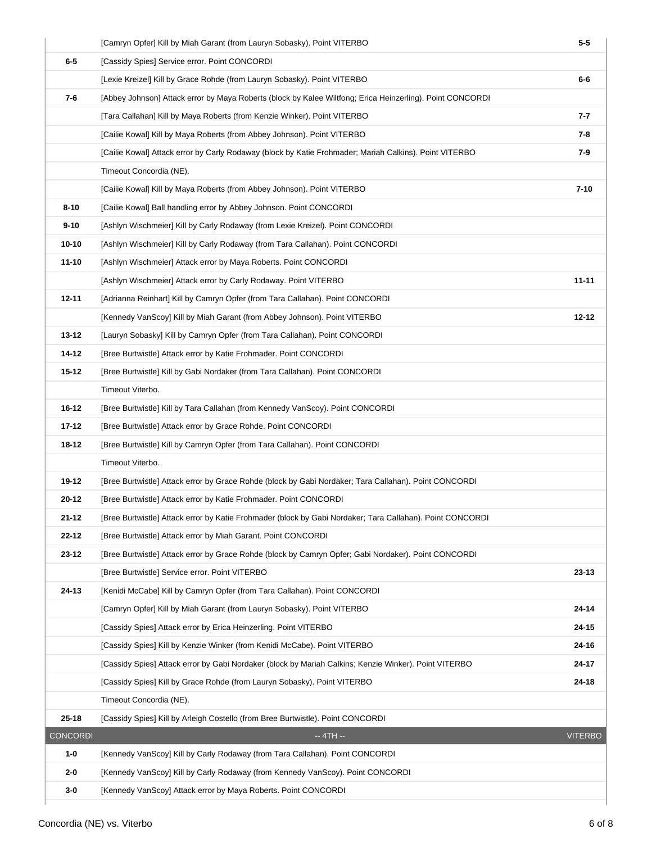|                 | [Camryn Opfer] Kill by Miah Garant (from Lauryn Sobasky). Point VITERBO                                   | $5-5$          |
|-----------------|-----------------------------------------------------------------------------------------------------------|----------------|
| $6-5$           | [Cassidy Spies] Service error. Point CONCORDI                                                             |                |
|                 | [Lexie Kreizel] Kill by Grace Rohde (from Lauryn Sobasky). Point VITERBO                                  | $6-6$          |
| $7-6$           | [Abbey Johnson] Attack error by Maya Roberts (block by Kalee Wiltfong; Erica Heinzerling). Point CONCORDI |                |
|                 | [Tara Callahan] Kill by Maya Roberts (from Kenzie Winker). Point VITERBO                                  | 7-7            |
|                 | [Cailie Kowal] Kill by Maya Roberts (from Abbey Johnson). Point VITERBO                                   | $7 - 8$        |
|                 | [Cailie Kowal] Attack error by Carly Rodaway (block by Katie Frohmader; Mariah Calkins). Point VITERBO    | $7-9$          |
|                 | Timeout Concordia (NE).                                                                                   |                |
|                 | [Cailie Kowal] Kill by Maya Roberts (from Abbey Johnson). Point VITERBO                                   | $7 - 10$       |
| $8 - 10$        | [Cailie Kowal] Ball handling error by Abbey Johnson. Point CONCORDI                                       |                |
| $9 - 10$        | [Ashlyn Wischmeier] Kill by Carly Rodaway (from Lexie Kreizel). Point CONCORDI                            |                |
| $10 - 10$       | [Ashlyn Wischmeier] Kill by Carly Rodaway (from Tara Callahan). Point CONCORDI                            |                |
| $11 - 10$       | [Ashlyn Wischmeier] Attack error by Maya Roberts. Point CONCORDI                                          |                |
|                 | [Ashlyn Wischmeier] Attack error by Carly Rodaway. Point VITERBO                                          | $11 - 11$      |
| $12 - 11$       | [Adrianna Reinhart] Kill by Camryn Opfer (from Tara Callahan). Point CONCORDI                             |                |
|                 | [Kennedy VanScoy] Kill by Miah Garant (from Abbey Johnson). Point VITERBO                                 | $12 - 12$      |
| $13 - 12$       | [Lauryn Sobasky] Kill by Camryn Opfer (from Tara Callahan). Point CONCORDI                                |                |
| 14-12           | [Bree Burtwistle] Attack error by Katie Frohmader. Point CONCORDI                                         |                |
| $15 - 12$       | [Bree Burtwistle] Kill by Gabi Nordaker (from Tara Callahan). Point CONCORDI                              |                |
|                 | Timeout Viterbo.                                                                                          |                |
| $16 - 12$       | [Bree Burtwistle] Kill by Tara Callahan (from Kennedy VanScoy). Point CONCORDI                            |                |
| $17 - 12$       | [Bree Burtwistle] Attack error by Grace Rohde. Point CONCORDI                                             |                |
| 18-12           | [Bree Burtwistle] Kill by Camryn Opfer (from Tara Callahan). Point CONCORDI                               |                |
|                 | Timeout Viterbo.                                                                                          |                |
| 19-12           | [Bree Burtwistle] Attack error by Grace Rohde (block by Gabi Nordaker; Tara Callahan). Point CONCORDI     |                |
| 20-12           | [Bree Burtwistle] Attack error by Katie Frohmader. Point CONCORDI                                         |                |
| $21 - 12$       | [Bree Burtwistle] Attack error by Katie Frohmader (block by Gabi Nordaker; Tara Callahan). Point CONCORDI |                |
| 22-12           | [Bree Burtwistle] Attack error by Miah Garant. Point CONCORDI                                             |                |
| $23 - 12$       | [Bree Burtwistle] Attack error by Grace Rohde (block by Camryn Opfer; Gabi Nordaker). Point CONCORDI      |                |
|                 | [Bree Burtwistle] Service error. Point VITERBO                                                            | 23-13          |
| 24-13           | [Kenidi McCabe] Kill by Camryn Opfer (from Tara Callahan). Point CONCORDI                                 |                |
|                 | [Camryn Opfer] Kill by Miah Garant (from Lauryn Sobasky). Point VITERBO                                   | 24-14          |
|                 | [Cassidy Spies] Attack error by Erica Heinzerling. Point VITERBO                                          | 24-15          |
|                 | [Cassidy Spies] Kill by Kenzie Winker (from Kenidi McCabe). Point VITERBO                                 | 24-16          |
|                 | [Cassidy Spies] Attack error by Gabi Nordaker (block by Mariah Calkins; Kenzie Winker). Point VITERBO     | 24-17          |
|                 | [Cassidy Spies] Kill by Grace Rohde (from Lauryn Sobasky). Point VITERBO                                  | $24 - 18$      |
|                 | Timeout Concordia (NE).                                                                                   |                |
| $25 - 18$       | [Cassidy Spies] Kill by Arleigh Costello (from Bree Burtwistle). Point CONCORDI                           |                |
| <b>CONCORDI</b> | $-4TH -$                                                                                                  | <b>VITERBO</b> |
| $1-0$           | [Kennedy VanScoy] Kill by Carly Rodaway (from Tara Callahan). Point CONCORDI                              |                |
| $2 - 0$         | [Kennedy VanScoy] Kill by Carly Rodaway (from Kennedy VanScoy). Point CONCORDI                            |                |
| $3-0$           | [Kennedy VanScoy] Attack error by Maya Roberts. Point CONCORDI                                            |                |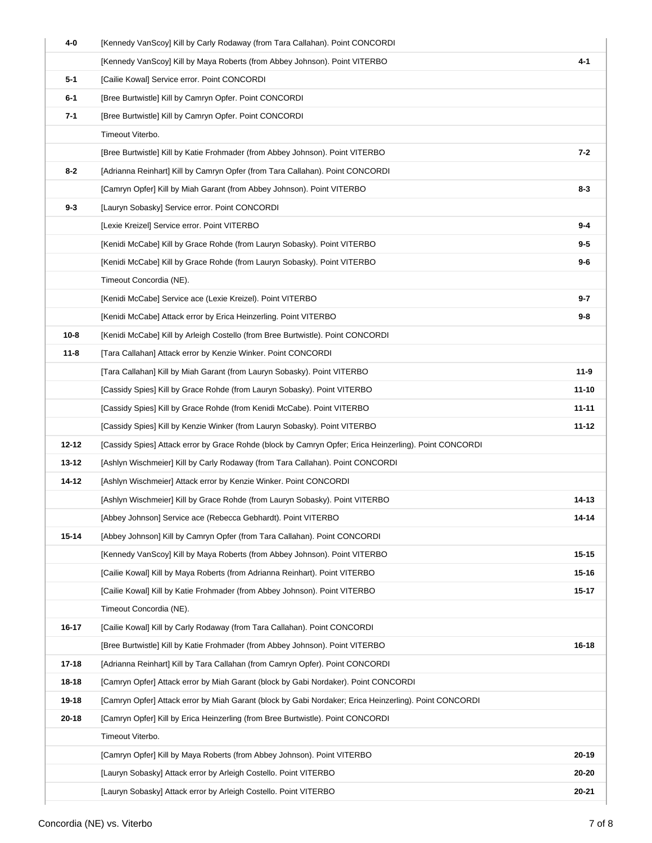| 4-0       | [Kennedy VanScoy] Kill by Carly Rodaway (from Tara Callahan). Point CONCORDI                           |           |
|-----------|--------------------------------------------------------------------------------------------------------|-----------|
|           | [Kennedy VanScoy] Kill by Maya Roberts (from Abbey Johnson). Point VITERBO                             | $4 - 1$   |
| $5-1$     | [Cailie Kowal] Service error. Point CONCORDI                                                           |           |
| $6-1$     | [Bree Burtwistle] Kill by Camryn Opfer. Point CONCORDI                                                 |           |
| $7-1$     | [Bree Burtwistle] Kill by Camryn Opfer. Point CONCORDI                                                 |           |
|           | Timeout Viterbo.                                                                                       |           |
|           | [Bree Burtwistle] Kill by Katie Frohmader (from Abbey Johnson). Point VITERBO                          | 7-2       |
| $8-2$     | [Adrianna Reinhart] Kill by Camryn Opfer (from Tara Callahan). Point CONCORDI                          |           |
|           | [Camryn Opfer] Kill by Miah Garant (from Abbey Johnson). Point VITERBO                                 | $8 - 3$   |
| $9 - 3$   | [Lauryn Sobasky] Service error. Point CONCORDI                                                         |           |
|           | [Lexie Kreizel] Service error. Point VITERBO                                                           | $9 - 4$   |
|           | [Kenidi McCabe] Kill by Grace Rohde (from Lauryn Sobasky). Point VITERBO                               | $9-5$     |
|           | [Kenidi McCabe] Kill by Grace Rohde (from Lauryn Sobasky). Point VITERBO                               | 9-6       |
|           | Timeout Concordia (NE).                                                                                |           |
|           | [Kenidi McCabe] Service ace (Lexie Kreizel). Point VITERBO                                             | 9-7       |
|           | [Kenidi McCabe] Attack error by Erica Heinzerling. Point VITERBO                                       | 9-8       |
| $10 - 8$  | [Kenidi McCabe] Kill by Arleigh Costello (from Bree Burtwistle). Point CONCORDI                        |           |
| $11 - 8$  | [Tara Callahan] Attack error by Kenzie Winker. Point CONCORDI                                          |           |
|           | [Tara Callahan] Kill by Miah Garant (from Lauryn Sobasky). Point VITERBO                               | $11-9$    |
|           | [Cassidy Spies] Kill by Grace Rohde (from Lauryn Sobasky). Point VITERBO                               | $11 - 10$ |
|           | [Cassidy Spies] Kill by Grace Rohde (from Kenidi McCabe). Point VITERBO                                | $11 - 11$ |
|           | [Cassidy Spies] Kill by Kenzie Winker (from Lauryn Sobasky). Point VITERBO                             | $11 - 12$ |
| $12 - 12$ | [Cassidy Spies] Attack error by Grace Rohde (block by Camryn Opfer; Erica Heinzerling). Point CONCORDI |           |
| $13 - 12$ | [Ashlyn Wischmeier] Kill by Carly Rodaway (from Tara Callahan). Point CONCORDI                         |           |
| $14 - 12$ | [Ashlyn Wischmeier] Attack error by Kenzie Winker. Point CONCORDI                                      |           |
|           | [Ashlyn Wischmeier] Kill by Grace Rohde (from Lauryn Sobasky). Point VITERBO                           | 14-13     |
|           | [Abbey Johnson] Service ace (Rebecca Gebhardt). Point VITERBO                                          | 14-14     |
| 15-14     | [Abbey Johnson] Kill by Camryn Opfer (from Tara Callahan). Point CONCORDI                              |           |
|           | [Kennedy VanScoy] Kill by Maya Roberts (from Abbey Johnson). Point VITERBO                             | $15 - 15$ |
|           | [Cailie Kowal] Kill by Maya Roberts (from Adrianna Reinhart). Point VITERBO                            | $15 - 16$ |
|           | [Cailie Kowal] Kill by Katie Frohmader (from Abbey Johnson). Point VITERBO                             | 15-17     |
|           | Timeout Concordia (NE).                                                                                |           |
| 16-17     | [Cailie Kowal] Kill by Carly Rodaway (from Tara Callahan). Point CONCORDI                              |           |
|           | [Bree Burtwistle] Kill by Katie Frohmader (from Abbey Johnson). Point VITERBO                          | $16 - 18$ |
| $17 - 18$ | [Adrianna Reinhart] Kill by Tara Callahan (from Camryn Opfer). Point CONCORDI                          |           |
| 18-18     | [Camryn Opfer] Attack error by Miah Garant (block by Gabi Nordaker). Point CONCORDI                    |           |
| 19-18     | [Camryn Opfer] Attack error by Miah Garant (block by Gabi Nordaker; Erica Heinzerling). Point CONCORDI |           |
| $20 - 18$ | [Camryn Opfer] Kill by Erica Heinzerling (from Bree Burtwistle). Point CONCORDI                        |           |
|           | Timeout Viterbo.                                                                                       |           |
|           | [Camryn Opfer] Kill by Maya Roberts (from Abbey Johnson). Point VITERBO                                | $20 - 19$ |
|           | [Lauryn Sobasky] Attack error by Arleigh Costello. Point VITERBO                                       | 20-20     |
|           | [Lauryn Sobasky] Attack error by Arleigh Costello. Point VITERBO                                       | 20-21     |